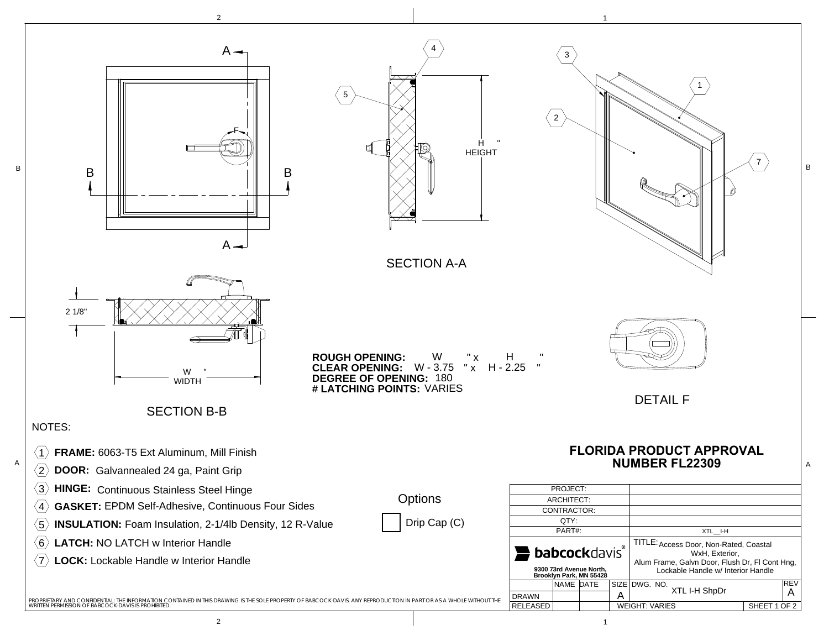

2 $1$